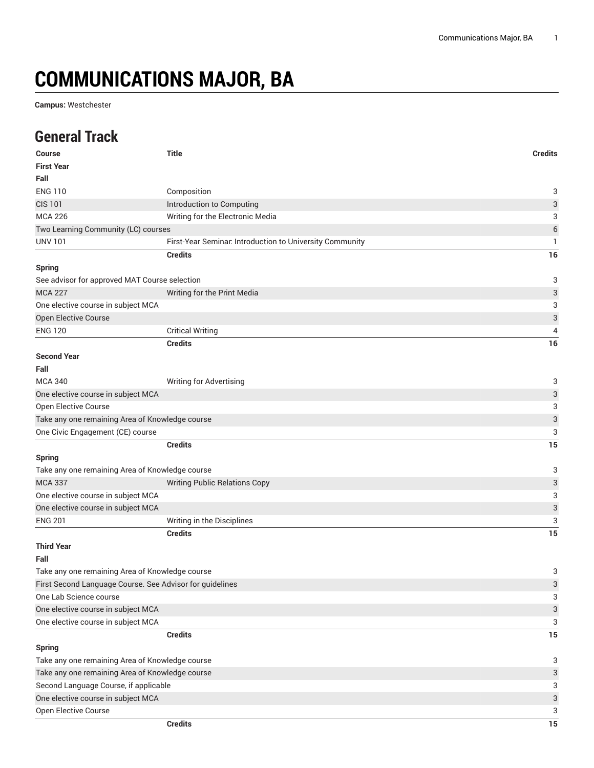# **COMMUNICATIONS MAJOR, BA**

**Campus:** Westchester

### **General Track**

| <b>Course</b>                                            | <b>Title</b>                                             | <b>Credits</b>            |
|----------------------------------------------------------|----------------------------------------------------------|---------------------------|
| <b>First Year</b>                                        |                                                          |                           |
| Fall                                                     |                                                          |                           |
| <b>ENG 110</b>                                           | Composition                                              | 3                         |
| <b>CIS 101</b>                                           | Introduction to Computing                                | $\ensuremath{\mathsf{3}}$ |
| <b>MCA 226</b>                                           | Writing for the Electronic Media                         | 3                         |
| Two Learning Community (LC) courses                      |                                                          | 6                         |
| <b>UNV 101</b>                                           | First-Year Seminar. Introduction to University Community | 1                         |
|                                                          | <b>Credits</b>                                           | 16                        |
| <b>Spring</b>                                            |                                                          |                           |
| See advisor for approved MAT Course selection            |                                                          | 3                         |
| <b>MCA 227</b>                                           | Writing for the Print Media                              | 3                         |
| One elective course in subject MCA                       |                                                          | 3                         |
| Open Elective Course                                     |                                                          | $\ensuremath{\mathsf{3}}$ |
| <b>ENG 120</b>                                           | <b>Critical Writing</b>                                  | 4                         |
|                                                          | <b>Credits</b>                                           | 16                        |
| <b>Second Year</b>                                       |                                                          |                           |
| Fall                                                     |                                                          |                           |
| <b>MCA 340</b>                                           | Writing for Advertising                                  | 3                         |
| One elective course in subject MCA                       |                                                          | 3                         |
| Open Elective Course                                     |                                                          | 3                         |
| Take any one remaining Area of Knowledge course          |                                                          | $\ensuremath{\mathsf{3}}$ |
| One Civic Engagement (CE) course                         |                                                          | 3                         |
|                                                          | <b>Credits</b>                                           | 15                        |
| <b>Spring</b>                                            |                                                          |                           |
| Take any one remaining Area of Knowledge course          |                                                          | 3                         |
| <b>MCA 337</b>                                           | <b>Writing Public Relations Copy</b>                     | $\ensuremath{\mathsf{3}}$ |
| One elective course in subject MCA                       |                                                          | 3                         |
| One elective course in subject MCA                       |                                                          | 3                         |
| <b>ENG 201</b>                                           | Writing in the Disciplines                               | 3                         |
|                                                          | <b>Credits</b>                                           | 15                        |
| <b>Third Year</b>                                        |                                                          |                           |
| Fall                                                     |                                                          |                           |
| Take any one remaining Area of Knowledge course          |                                                          | 3                         |
| First Second Language Course. See Advisor for guidelines |                                                          | 3                         |
| One Lab Science course                                   |                                                          | 3                         |
| One elective course in subject MCA                       |                                                          | $\ensuremath{\mathsf{3}}$ |
| One elective course in subject MCA                       |                                                          | 3                         |
|                                                          | <b>Credits</b>                                           | 15                        |
| <b>Spring</b>                                            |                                                          |                           |
| Take any one remaining Area of Knowledge course          | 3                                                        |                           |
| Take any one remaining Area of Knowledge course          |                                                          |                           |
| Second Language Course, if applicable                    |                                                          | 3                         |
| One elective course in subject MCA                       |                                                          | $\ensuremath{\mathsf{3}}$ |
| Open Elective Course                                     |                                                          | 3                         |
|                                                          | <b>Credits</b>                                           | $15\,$                    |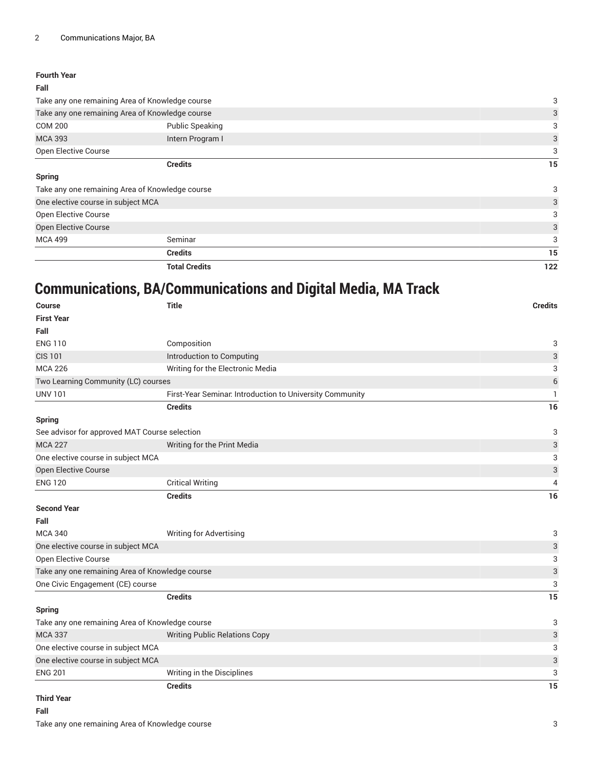#### **Fourth Year Fall**

|                                                 | <b>Total Credits</b>   | 122 |
|-------------------------------------------------|------------------------|-----|
|                                                 | <b>Credits</b>         | 15  |
| <b>MCA 499</b>                                  | Seminar                | 3   |
| <b>Open Elective Course</b>                     |                        | 3   |
| <b>Open Elective Course</b>                     |                        | 3   |
| One elective course in subject MCA              |                        | 3   |
| Take any one remaining Area of Knowledge course |                        | 3   |
| <b>Spring</b>                                   |                        |     |
|                                                 | <b>Credits</b>         | 15  |
| <b>Open Elective Course</b>                     |                        | 3   |
| <b>MCA 393</b>                                  | Intern Program I       | 3   |
| <b>COM 200</b>                                  | <b>Public Speaking</b> | 3   |
| Take any one remaining Area of Knowledge course | 3                      |     |
| Take any one remaining Area of Knowledge course | 3                      |     |
| ган                                             |                        |     |

## **Communications, BA/Communications and Digital Media, MA Track**

| Course                                          | <b>Title</b>                                             | <b>Credits</b>            |
|-------------------------------------------------|----------------------------------------------------------|---------------------------|
| <b>First Year</b>                               |                                                          |                           |
| Fall                                            |                                                          |                           |
| <b>ENG 110</b>                                  | Composition                                              | 3                         |
| <b>CIS 101</b>                                  | Introduction to Computing                                | 3                         |
| <b>MCA 226</b>                                  | Writing for the Electronic Media                         | 3                         |
| Two Learning Community (LC) courses             |                                                          | 6                         |
| <b>UNV 101</b>                                  | First-Year Seminar. Introduction to University Community | 1                         |
|                                                 | <b>Credits</b>                                           | 16                        |
| <b>Spring</b>                                   |                                                          |                           |
| See advisor for approved MAT Course selection   |                                                          | 3                         |
| <b>MCA 227</b>                                  | Writing for the Print Media                              | 3                         |
| One elective course in subject MCA              |                                                          | 3                         |
| Open Elective Course                            |                                                          | 3                         |
| <b>ENG 120</b>                                  | <b>Critical Writing</b>                                  | 4                         |
|                                                 | <b>Credits</b>                                           | 16                        |
| <b>Second Year</b>                              |                                                          |                           |
| Fall                                            |                                                          |                           |
| <b>MCA 340</b>                                  | <b>Writing for Advertising</b>                           | 3                         |
| One elective course in subject MCA              |                                                          | $\ensuremath{\mathsf{3}}$ |
| Open Elective Course                            |                                                          | 3                         |
| Take any one remaining Area of Knowledge course |                                                          | 3                         |
| One Civic Engagement (CE) course                |                                                          | 3                         |
|                                                 | <b>Credits</b>                                           | 15                        |
| Spring                                          |                                                          |                           |
| Take any one remaining Area of Knowledge course |                                                          | 3                         |
| <b>MCA 337</b>                                  | <b>Writing Public Relations Copy</b>                     | $\ensuremath{\mathsf{3}}$ |
| One elective course in subject MCA              |                                                          | 3                         |
| One elective course in subject MCA              |                                                          | 3                         |
| <b>ENG 201</b>                                  | Writing in the Disciplines                               | 3                         |
|                                                 | <b>Credits</b>                                           | 15                        |
| <b>Third Year</b>                               |                                                          |                           |

#### **Fall**

Take any one remaining Area of Knowledge course 3